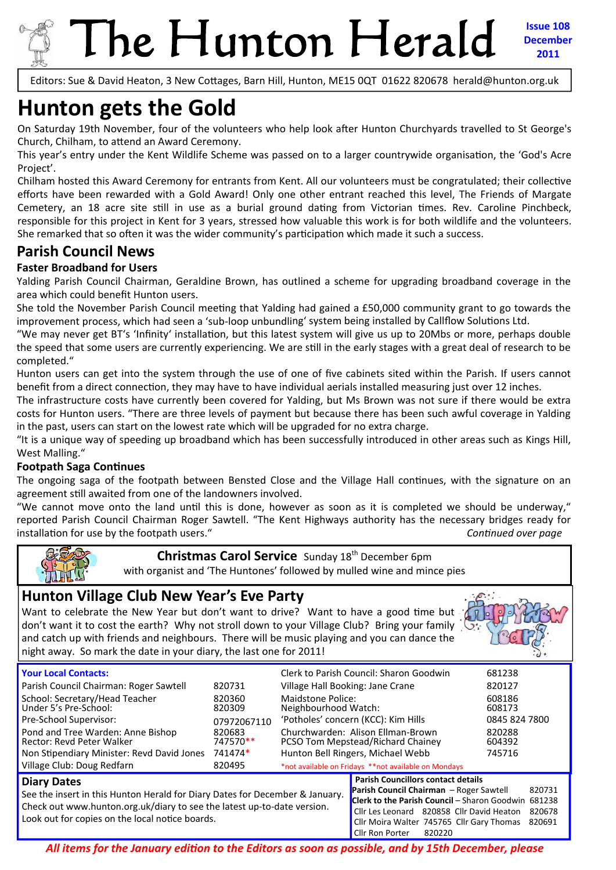

# The Hunton Herald

**Issue 108 December 2011**

Editors: Sue & David Heaton, 3 New Cottages, Barn Hill, Hunton, ME15 0QT 01622 820678 herald@hunton.org.uk

## **Hunton gets the Gold**

On Saturday 19th November, four of the volunteers who help look after Hunton Churchyards travelled to St George's Church, Chilham, to attend an Award Ceremony.

This year's entry under the Kent Wildlife Scheme was passed on to a larger countrywide organisation, the 'God's Acre Project'.

Chilham hosted this Award Ceremony for entrants from Kent. All our volunteers must be congratulated; their collective efforts have been rewarded with a Gold Award! Only one other entrant reached this level, The Friends of Margate Cemetery, an 18 acre site still in use as a burial ground dating from Victorian times. Rev. Caroline Pinchbeck, responsible for this project in Kent for 3 years, stressed how valuable this work is for both wildlife and the volunteers. She remarked that so often it was the wider community's participation which made it such a success.

### **Parish Council News**

#### **Faster Broadband for Users**

Yalding Parish Council Chairman, Geraldine Brown, has outlined a scheme for upgrading broadband coverage in the area which could benefit Hunton users.

She told the November Parish Council meeting that Yalding had gained a £50,000 community grant to go towards the improvement process, which had seen a 'sub-loop unbundling' system being installed by Callflow Solutions Ltd.

"We may never get BT's 'Infinity' installation, but this latest system will give us up to 20Mbs or more, perhaps double the speed that some users are currently experiencing. We are still in the early stages with a great deal of research to be completed."

Hunton users can get into the system through the use of one of five cabinets sited within the Parish. If users cannot benefit from a direct connection, they may have to have individual aerials installed measuring just over 12 inches.

The infrastructure costs have currently been covered for Yalding, but Ms Brown was not sure if there would be extra costs for Hunton users. "There are three levels of payment but because there has been such awful coverage in Yalding in the past, users can start on the lowest rate which will be upgraded for no extra charge.

"It is a unique way of speeding up broadband which has been successfully introduced in other areas such as Kings Hill, West Malling."

#### **Footpath Saga Continues**

The ongoing saga of the footpath between Bensted Close and the Village Hall continues, with the signature on an agreement still awaited from one of the landowners involved.

"We cannot move onto the land until this is done, however as soon as it is completed we should be underway," reported Parish Council Chairman Roger Sawtell. "The Kent Highways authority has the necessary bridges ready for installation for use by the footpath users."  $\blacksquare$ 



#### **Christmas Carol Service** Sunday 18<sup>th</sup> December 6pm

with organist and 'The Huntones' followed by mulled wine and mince pies

#### **Hunton Village Club New Year's Eve Party**

Want to celebrate the New Year but don't want to drive? Want to have a good time but don't want it to cost the earth? Why not stroll down to your Village Club? Bring your family and catch up with friends and neighbours. There will be music playing and you can dance the night away. So mark the date in your diary, the last one for 2011!



| <b>Your Local Contacts:</b>                                                  |             |                                                      | Clerk to Parish Council: Sharon Goodwin                  | 681238        |  |
|------------------------------------------------------------------------------|-------------|------------------------------------------------------|----------------------------------------------------------|---------------|--|
| Parish Council Chairman: Roger Sawtell                                       | 820731      | Village Hall Booking: Jane Crane                     | 820127                                                   |               |  |
| School: Secretary/Head Teacher                                               | 820360      | Maidstone Police:                                    |                                                          | 608186        |  |
| Under 5's Pre-School:                                                        | 820309      | Neighbourhood Watch:                                 |                                                          | 608173        |  |
| Pre-School Supervisor:                                                       | 07972067110 | 'Potholes' concern (KCC): Kim Hills                  |                                                          | 0845 824 7800 |  |
| Pond and Tree Warden: Anne Bishop                                            | 820683      | Churchwarden: Alison Ellman-Brown                    |                                                          | 820288        |  |
| <b>Rector: Revd Peter Walker</b>                                             | 747570**    | PCSO Tom Mepstead/Richard Chainey                    | 604392                                                   |               |  |
| Non Stipendiary Minister: Revd David Jones                                   | 741474*     | Hunton Bell Ringers, Michael Webb                    |                                                          | 745716        |  |
| Village Club: Doug Redfarn                                                   | 820495      | *not available on Fridays **not available on Mondays |                                                          |               |  |
| <b>Diary Dates</b>                                                           |             |                                                      | <b>Parish Councillors contact details</b>                |               |  |
| See the insert in this Hunton Herald for Diany Dates for Desember 8, January |             |                                                      | <b>Parish Council Chairman</b> - Roger Sawtell<br>820731 |               |  |

#### See the insert in this Hunton Herald for Diary Dates for December & January. Check out www.hunton.org.uk/diary to see the latest up‐to‐date version. Look out for copies on the local notice boards.

**Clerk to the Parish Council** – Sharon Goodwin 681238 Cllr Les Leonard 820858 Cllr David Heaton 820678 Cllr Moira Walter 745765 Cllr Gary Thomas 820691 Cllr Ron Porter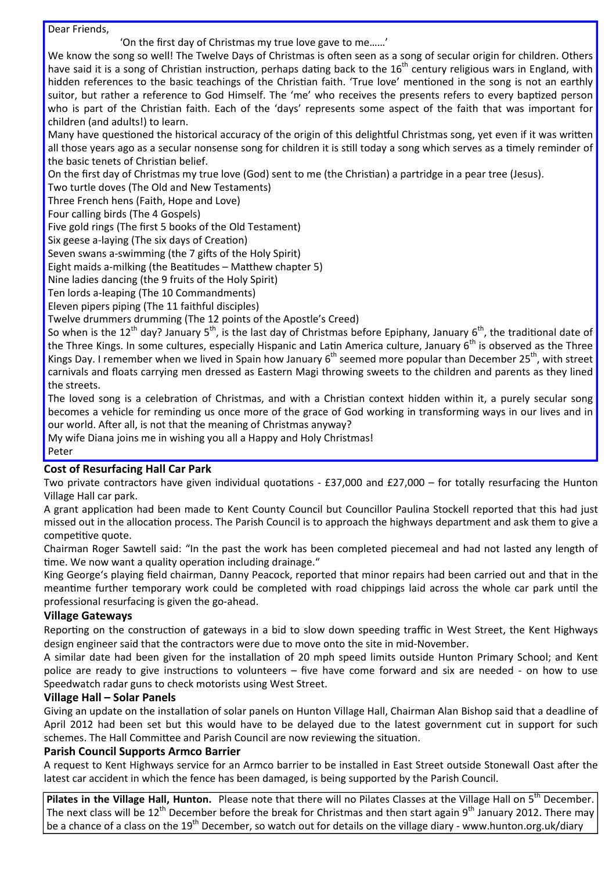Dear Friends,

'On the first day of Christmas my true love gave to me……'

We know the song so well! The Twelve Days of Christmas is often seen as a song of secular origin for children. Others have said it is a song of Christian instruction, perhaps dating back to the 16<sup>th</sup> century religious wars in England, with hidden references to the basic teachings of the Christian faith. 'True love' mentioned in the song is not an earthly suitor, but rather a reference to God Himself. The 'me' who receives the presents refers to every baptized person who is part of the Christian faith. Each of the 'days' represents some aspect of the faith that was important for children (and adults!) to learn.

Many have questioned the historical accuracy of the origin of this delightful Christmas song, yet even if it was written all those years ago as a secular nonsense song for children it is still today a song which serves as a timely reminder of the basic tenets of Christian belief.

On the first day of Christmas my true love (God) sent to me (the Christian) a partridge in a pear tree (Jesus).

Two turtle doves (The Old and New Testaments)

Three French hens (Faith, Hope and Love)

Four calling birds (The 4 Gospels)

Five gold rings (The first 5 books of the Old Testament)

Six geese a-laying (The six days of Creation)

Seven swans a-swimming (the 7 gifts of the Holy Spirit)

Eight maids a-milking (the Beatitudes – Matthew chapter 5)

Nine ladies dancing (the 9 fruits of the Holy Spirit)

Ten lords a‐leaping (The 10 Commandments)

Eleven pipers piping (The 11 faithful disciples)

Twelve drummers drumming (The 12 points of the Apostle's Creed)

So when is the 12<sup>th</sup> day? January 5<sup>th</sup>, is the last day of Christmas before Epiphany, January 6<sup>th</sup>, the traditional date of the Three Kings. In some cultures, especially Hispanic and Latin America culture, January 6<sup>th</sup> is observed as the Three Kings Day. I remember when we lived in Spain how January  $6<sup>th</sup>$  seemed more popular than December 25<sup>th</sup>, with street carnivals and floats carrying men dressed as Eastern Magi throwing sweets to the children and parents as they lined the streets.

The loved song is a celebration of Christmas, and with a Christian context hidden within it, a purely secular song becomes a vehicle for reminding us once more of the grace of God working in transforming ways in our lives and in our world. After all, is not that the meaning of Christmas anyway?

My wife Diana joins me in wishing you all a Happy and Holy Christmas! Peter

#### **Cost of Resurfacing Hall Car Park**

Two private contractors have given individual quotations -  $£37,000$  and  $£27,000$  – for totally resurfacing the Hunton Village Hall car park.

A grant application had been made to Kent County Council but Councillor Paulina Stockell reported that this had just missed out in the allocation process. The Parish Council is to approach the highways department and ask them to give a competitive quote.

Chairman Roger Sawtell said: "In the past the work has been completed piecemeal and had not lasted any length of time. We now want a quality operation including drainage."

King George's playing field chairman, Danny Peacock, reported that minor repairs had been carried out and that in the meantime further temporary work could be completed with road chippings laid across the whole car park until the professional resurfacing is given the go‐ahead.

#### **Village Gateways**

Reporting on the construction of gateways in a bid to slow down speeding traffic in West Street, the Kent Highways design engineer said that the contractors were due to move onto the site in mid‐November.

A similar date had been given for the installation of 20 mph speed limits outside Hunton Primary School; and Kent police are ready to give instructions to volunteers – five have come forward and six are needed  $\overline{\phantom{a}}$  on how to use Speedwatch radar guns to check motorists using West Street.

#### **Village Hall – Solar Panels**

Giving an update on the installation of solar panels on Hunton Village Hall, Chairman Alan Bishop said that a deadline of April 2012 had been set but this would have to be delayed due to the latest government cut in support for such schemes. The Hall Committee and Parish Council are now reviewing the situation.

#### **Parish Council Supports Armco Barrier**

A request to Kent Highways service for an Armco barrier to be installed in East Street outside Stonewall Oast after the latest car accident in which the fence has been damaged, is being supported by the Parish Council.

**Pilates in the Village Hall, Hunton.** Please note that there will no Pilates Classes at the Village Hall on 5<sup>th</sup> December. The next class will be  $12^{th}$  December before the break for Christmas and then start again 9<sup>th</sup> January 2012. There may be a chance of a class on the 19<sup>th</sup> December, so watch out for details on the village diary - www.hunton.org.uk/diary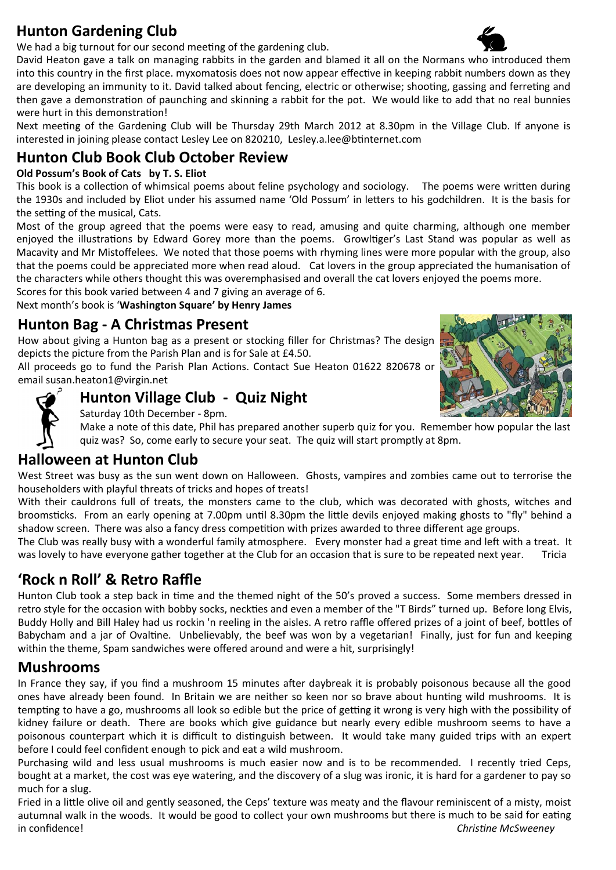## **Hunton Gardening Club**

We had a big turnout for our second meeting of the gardening club.

David Heaton gave a talk on managing rabbits in the garden and blamed it all on the Normans who introduced them into this country in the first place. myxomatosis does not now appear effective in keeping rabbit numbers down as they are developing an immunity to it. David talked about fencing, electric or otherwise; shooting, gassing and ferreting and then gave a demonstration of paunching and skinning a rabbit for the pot. We would like to add that no real bunnies were hurt in this demonstration!

Next meeting of the Gardening Club will be Thursday 29th March 2012 at 8.30pm in the Village Club. If anyone is interested in joining please contact Lesley Lee on 820210, Lesley.a.lee@btinternet.com

## **Hunton Club Book Club October Review**

#### **Old Possum's Book of Cats by T. S. Eliot**

This book is a collection of whimsical poems about feline psychology and sociology. The poems were written during the 1930s and included by Eliot under his assumed name 'Old Possum' in letters to his godchildren. It is the basis for the setting of the musical, Cats.

Most of the group agreed that the poems were easy to read, amusing and quite charming, although one member enjoyed the illustrations by Edward Gorey more than the poems. Growltiger's Last Stand was popular as well as Macavity and Mr Mistoffelees. We noted that those poems with rhyming lines were more popular with the group, also that the poems could be appreciated more when read aloud. Cat lovers in the group appreciated the humanisation of the characters while others thought this was overemphasised and overall the cat lovers enjoyed the poems more.

Scores for this book varied between 4 and 7 giving an average of 6.

Next month's book is '**Washington Square' by Henry James**

## **Hunton Bag ‐ A Christmas Present**

How about giving a Hunton bag as a present or stocking filler for Christmas? The design depicts the picture from the Parish Plan and is for Sale at £4.50.

All proceeds go to fund the Parish Plan Actions. Contact Sue Heaton 01622 820678 or email susan.heaton1@virgin.net



## **Hunton Village Club ‐ Quiz Night**

Saturday 10th December ‐ 8pm.

Make a note of this date, Phil has prepared another superb quiz for you. Remember how popular the last quiz was? So, come early to secure your seat. The quiz will start promptly at 8pm.

## **Halloween at Hunton Club**

West Street was busy as the sun went down on Halloween. Ghosts, vampires and zombies came out to terrorise the householders with playful threats of tricks and hopes of treats!

With their cauldrons full of treats, the monsters came to the club, which was decorated with ghosts, witches and broomsticks. From an early opening at 7.00pm until 8.30pm the little devils enjoyed making ghosts to "fly" behind a shadow screen. There was also a fancy dress competition with prizes awarded to three different age groups.

The Club was really busy with a wonderful family atmosphere. Every monster had a great time and left with a treat. It was lovely to have everyone gather together at the Club for an occasion that is sure to be repeated next year. Tricia

## **'Rock n Roll' & Retro Raffle**

Hunton Club took a step back in time and the themed night of the 50's proved a success. Some members dressed in retro style for the occasion with bobby socks, neckties and even a member of the "T Birds" turned up. Before long Elvis, Buddy Holly and Bill Haley had us rockin 'n reeling in the aisles. A retro raffle offered prizes of a joint of beef, bottles of Babycham and a jar of Ovaltine. Unbelievably, the beef was won by a vegetarian! Finally, just for fun and keeping within the theme, Spam sandwiches were offered around and were a hit, surprisingly!

## **Mushrooms**

In France they say, if you find a mushroom 15 minutes after daybreak it is probably poisonous because all the good ones have already been found. In Britain we are neither so keen nor so brave about hunting wild mushrooms. It is tempting to have a go, mushrooms all look so edible but the price of getting it wrong is very high with the possibility of kidney failure or death. There are books which give guidance but nearly every edible mushroom seems to have a poisonous counterpart which it is difficult to distinguish between. It would take many guided trips with an expert before I could feel confident enough to pick and eat a wild mushroom.

Purchasing wild and less usual mushrooms is much easier now and is to be recommended. I recently tried Ceps, bought at a market, the cost was eye watering, and the discovery of a slug was ironic, it is hard for a gardener to pay so much for a slug.

Fried in a little olive oil and gently seasoned, the Ceps' texture was meaty and the flavour reminiscent of a misty, moist autumnal walk in the woods. It would be good to collect your own mushrooms but there is much to be said for eating in confidence! *ChrisƟne McSweeney*